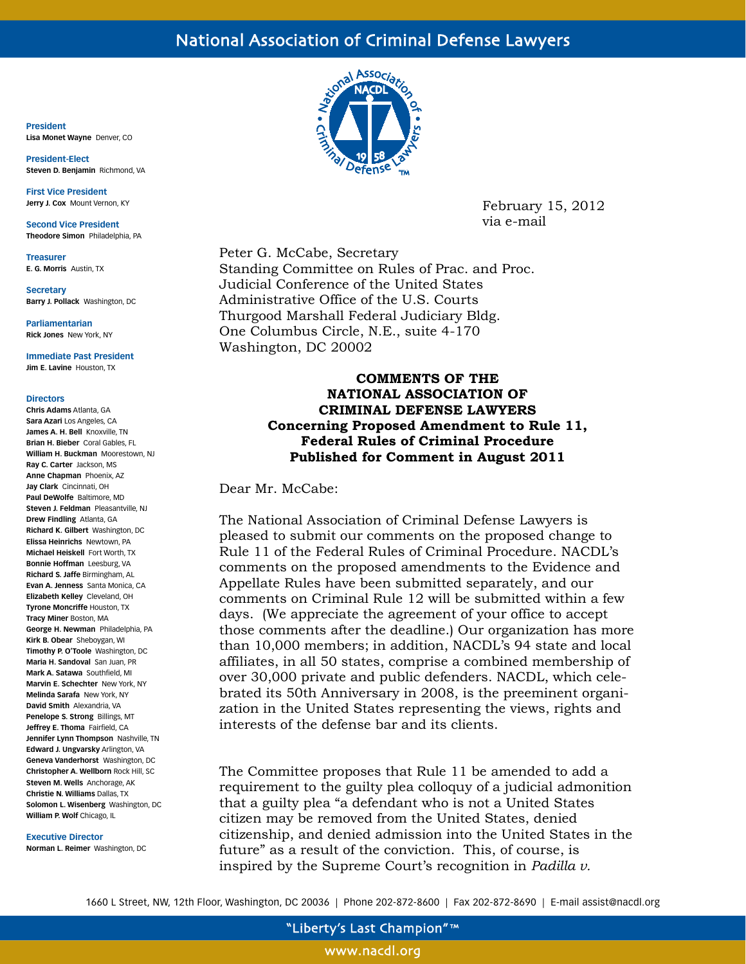# National Association of Criminal Defense Lawyers

**President Lisa Monet Wayne** Denver, CO

**President-Elect Steven D. Benjamin** Richmond, VA

**First Vice President Jerry J. Cox** Mount Vernon, KY

**Second Vice President Theodore Simon** Philadelphia, PA

**Treasurer E. G. Morris** Austin, TX

**Secretary Barry J. Pollack** Washington, DC

**Parliamentarian Rick Jones** New York, NY

**Immediate Past President Jim E. Lavine** Houston, TX

#### **Directors**

**Chris Adams** Atlanta, GA **Sara Azari** Los Angeles, CA **James A. H. Bell** Knoxville, TN **Brian H. Bieber** Coral Gables, FL **William H. Buckman** Moorestown, NJ **Ray C. Carter** Jackson, MS **Anne Chapman** Phoenix, AZ **Jay Clark** Cincinnati, OH **Paul DeWolfe** Baltimore, MD **Steven J. Feldman** Pleasantville, NJ **Drew Findling** Atlanta, GA **Richard K. Gilbert** Washington, DC **Elissa Heinrichs** Newtown, PA **Michael Heiskell** Fort Worth, TX **Bonnie Hoffman** Leesburg, VA **Richard S. Jaffe** Birmingham, AL **Evan A. Jenness** Santa Monica, CA **Elizabeth Kelley** Cleveland, OH **Tyrone Moncriffe** Houston, TX **Tracy Miner** Boston, MA **George H. Newman** Philadelphia, PA **Kirk B. Obear** Sheboygan, WI **Timothy P. O'Toole** Washington, DC **Maria H. Sandoval** San Juan, PR **Mark A. Satawa** Southfield, MI **Marvin E. Schechter** New York, NY **Melinda Sarafa** New York, NY **David Smith** Alexandria, VA **Penelope S. Strong** Billings, MT **Jeffrey E. Thoma** Fairfield, CA **Jennifer Lynn Thompson** Nashville, TN **Edward J. Ungvarsky** Arlington, VA **Geneva Vanderhorst** Washington, DC **Christopher A. Wellborn** Rock Hill, SC **Steven M. Wells** Anchorage, AK **Christie N. Williams** Dallas, TX **Solomon L. Wisenberg** Washington, DC **William P. Wolf** Chicago, IL

#### **Executive Director**

**Norman L. Reimer** Washington, DC



February 15, 2012 via e-mail

Peter G. McCabe, Secretary Standing Committee on Rules of Prac. and Proc. Judicial Conference of the United States Administrative Office of the U.S. Courts Thurgood Marshall Federal Judiciary Bldg. One Columbus Circle, N.E., suite 4-170 Washington, DC 20002

#### **COMMENTS OF THE NATIONAL ASSOCIATION OF CRIMINAL DEFENSE LAWYERS Concerning Proposed Amendment to Rule 11, Federal Rules of Criminal Procedure Published for Comment in August 2011**

Dear Mr. McCabe:

The National Association of Criminal Defense Lawyers is pleased to submit our comments on the proposed change to Rule 11 of the Federal Rules of Criminal Procedure. NACDL's comments on the proposed amendments to the Evidence and Appellate Rules have been submitted separately, and our comments on Criminal Rule 12 will be submitted within a few days. (We appreciate the agreement of your office to accept those comments after the deadline.) Our organization has more than 10,000 members; in addition, NACDL's 94 state and local affiliates, in all 50 states, comprise a combined membership of over 30,000 private and public defenders. NACDL, which celebrated its 50th Anniversary in 2008, is the preeminent organization in the United States representing the views, rights and interests of the defense bar and its clients.

The Committee proposes that Rule 11 be amended to add a requirement to the guilty plea colloquy of a judicial admonition that a guilty plea "a defendant who is not a United States citizen may be removed from the United States, denied citizenship, and denied admission into the United States in the future" as a result of the conviction. This, of course, is inspired by the Supreme Court's recognition in *Padilla v.* 

1660 L Street, NW, 12th Floor, Washington, DC 20036 | Phone 202-872-8600 | Fax 202-872-8690 | E-mail assist@nacdl.org

"Liberty's Last Champion"<sup>™</sup>

www.nacdl.org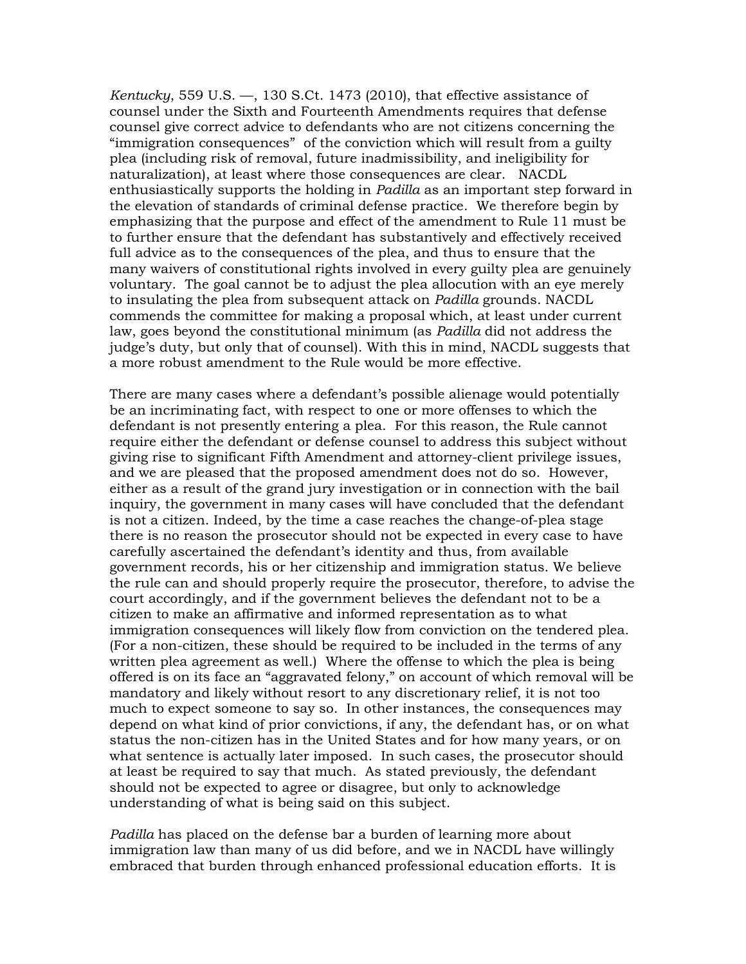*Kentucky*, 559 U.S. —, 130 S.Ct. 1473 (2010), that effective assistance of counsel under the Sixth and Fourteenth Amendments requires that defense counsel give correct advice to defendants who are not citizens concerning the "immigration consequences" of the conviction which will result from a guilty plea (including risk of removal, future inadmissibility, and ineligibility for naturalization), at least where those consequences are clear. NACDL enthusiastically supports the holding in *Padilla* as an important step forward in the elevation of standards of criminal defense practice. We therefore begin by emphasizing that the purpose and effect of the amendment to Rule 11 must be to further ensure that the defendant has substantively and effectively received full advice as to the consequences of the plea, and thus to ensure that the many waivers of constitutional rights involved in every guilty plea are genuinely voluntary. The goal cannot be to adjust the plea allocution with an eye merely to insulating the plea from subsequent attack on *Padilla* grounds. NACDL commends the committee for making a proposal which, at least under current law, goes beyond the constitutional minimum (as *Padilla* did not address the judge's duty, but only that of counsel). With this in mind, NACDL suggests that a more robust amendment to the Rule would be more effective.

There are many cases where a defendant's possible alienage would potentially be an incriminating fact, with respect to one or more offenses to which the defendant is not presently entering a plea. For this reason, the Rule cannot require either the defendant or defense counsel to address this subject without giving rise to significant Fifth Amendment and attorney-client privilege issues, and we are pleased that the proposed amendment does not do so. However, either as a result of the grand jury investigation or in connection with the bail inquiry, the government in many cases will have concluded that the defendant is not a citizen. Indeed, by the time a case reaches the change-of-plea stage there is no reason the prosecutor should not be expected in every case to have carefully ascertained the defendant's identity and thus, from available government records, his or her citizenship and immigration status. We believe the rule can and should properly require the prosecutor, therefore, to advise the court accordingly, and if the government believes the defendant not to be a citizen to make an affirmative and informed representation as to what immigration consequences will likely flow from conviction on the tendered plea. (For a non-citizen, these should be required to be included in the terms of any written plea agreement as well.) Where the offense to which the plea is being offered is on its face an "aggravated felony," on account of which removal will be mandatory and likely without resort to any discretionary relief, it is not too much to expect someone to say so. In other instances, the consequences may depend on what kind of prior convictions, if any, the defendant has, or on what status the non-citizen has in the United States and for how many years, or on what sentence is actually later imposed. In such cases, the prosecutor should at least be required to say that much. As stated previously, the defendant should not be expected to agree or disagree, but only to acknowledge understanding of what is being said on this subject.

*Padilla* has placed on the defense bar a burden of learning more about immigration law than many of us did before, and we in NACDL have willingly embraced that burden through enhanced professional education efforts. It is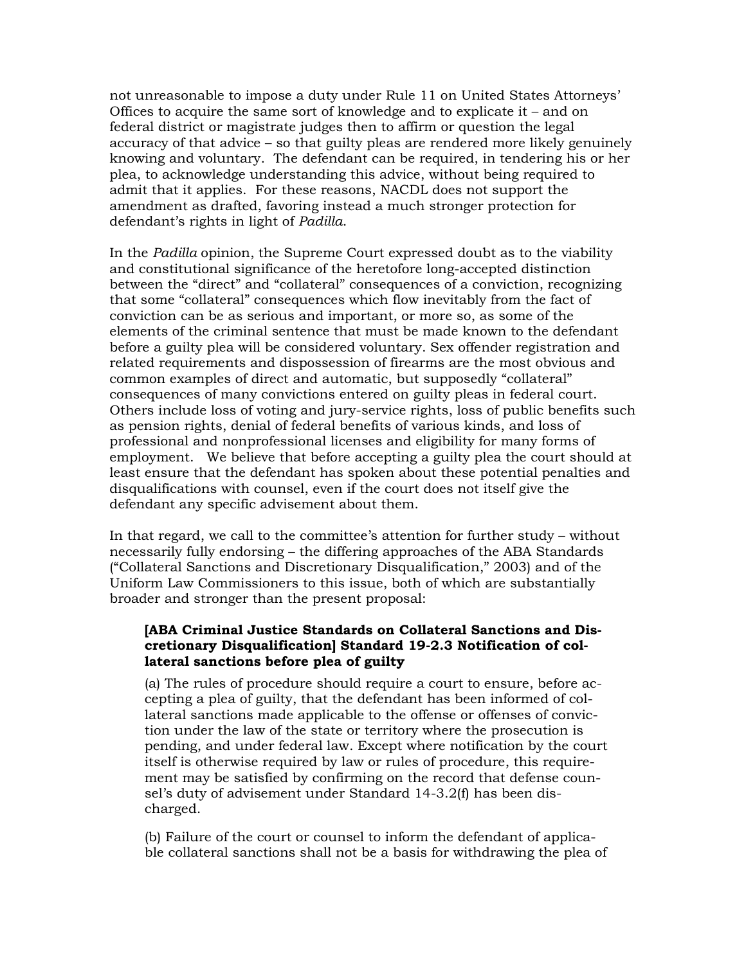not unreasonable to impose a duty under Rule 11 on United States Attorneys' Offices to acquire the same sort of knowledge and to explicate it – and on federal district or magistrate judges then to affirm or question the legal accuracy of that advice – so that guilty pleas are rendered more likely genuinely knowing and voluntary. The defendant can be required, in tendering his or her plea, to acknowledge understanding this advice, without being required to admit that it applies. For these reasons, NACDL does not support the amendment as drafted, favoring instead a much stronger protection for defendant's rights in light of *Padilla*.

In the *Padilla* opinion, the Supreme Court expressed doubt as to the viability and constitutional significance of the heretofore long-accepted distinction between the "direct" and "collateral" consequences of a conviction, recognizing that some "collateral" consequences which flow inevitably from the fact of conviction can be as serious and important, or more so, as some of the elements of the criminal sentence that must be made known to the defendant before a guilty plea will be considered voluntary. Sex offender registration and related requirements and dispossession of firearms are the most obvious and common examples of direct and automatic, but supposedly "collateral" consequences of many convictions entered on guilty pleas in federal court. Others include loss of voting and jury-service rights, loss of public benefits such as pension rights, denial of federal benefits of various kinds, and loss of professional and nonprofessional licenses and eligibility for many forms of employment. We believe that before accepting a guilty plea the court should at least ensure that the defendant has spoken about these potential penalties and disqualifications with counsel, even if the court does not itself give the defendant any specific advisement about them.

In that regard, we call to the committee's attention for further study – without necessarily fully endorsing – the differing approaches of the ABA Standards ("Collateral Sanctions and Discretionary Disqualification," 2003) and of the Uniform Law Commissioners to this issue, both of which are substantially broader and stronger than the present proposal:

## **[ABA Criminal Justice Standards on Collateral Sanctions and Discretionary Disqualification] Standard 19-2.3 Notification of collateral sanctions before plea of guilty**

(a) The rules of procedure should require a court to ensure, before accepting a plea of guilty, that the defendant has been informed of collateral sanctions made applicable to the offense or offenses of conviction under the law of the state or territory where the prosecution is pending, and under federal law. Except where notification by the court itself is otherwise required by law or rules of procedure, this requirement may be satisfied by confirming on the record that defense counsel's duty of advisement under Standard 14-3.2(f) has been discharged.

(b) Failure of the court or counsel to inform the defendant of applicable collateral sanctions shall not be a basis for withdrawing the plea of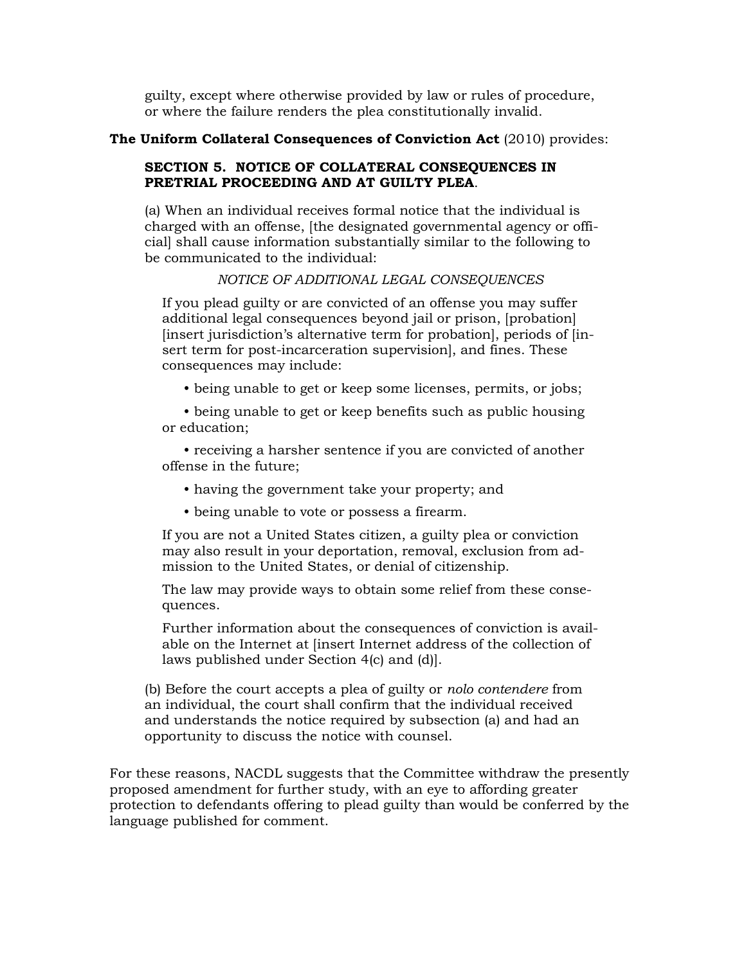guilty, except where otherwise provided by law or rules of procedure, or where the failure renders the plea constitutionally invalid.

#### **The Uniform Collateral Consequences of Conviction Act** (2010) provides:

## **SECTION 5. NOTICE OF COLLATERAL CONSEQUENCES IN PRETRIAL PROCEEDING AND AT GUILTY PLEA**.

(a) When an individual receives formal notice that the individual is charged with an offense, [the designated governmental agency or official] shall cause information substantially similar to the following to be communicated to the individual:

#### *NOTICE OF ADDITIONAL LEGAL CONSEQUENCES*

If you plead guilty or are convicted of an offense you may suffer additional legal consequences beyond jail or prison, [probation] [insert jurisdiction's alternative term for probation], periods of [insert term for post-incarceration supervision], and fines. These consequences may include:

• being unable to get or keep some licenses, permits, or jobs;

• being unable to get or keep benefits such as public housing or education;

 • receiving a harsher sentence if you are convicted of another offense in the future;

- having the government take your property; and
- being unable to vote or possess a firearm.

If you are not a United States citizen, a guilty plea or conviction may also result in your deportation, removal, exclusion from admission to the United States, or denial of citizenship.

The law may provide ways to obtain some relief from these consequences.

Further information about the consequences of conviction is available on the Internet at [insert Internet address of the collection of laws published under Section 4(c) and (d)].

(b) Before the court accepts a plea of guilty or *nolo contendere* from an individual, the court shall confirm that the individual received and understands the notice required by subsection (a) and had an opportunity to discuss the notice with counsel.

For these reasons, NACDL suggests that the Committee withdraw the presently proposed amendment for further study, with an eye to affording greater protection to defendants offering to plead guilty than would be conferred by the language published for comment.